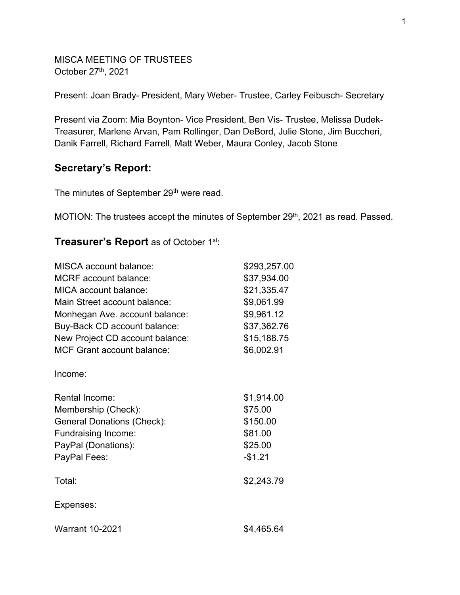MISCA MEETING OF TRUSTEES October 27th, 2021

Present: Joan Brady- President, Mary Weber- Trustee, Carley Feibusch- Secretary

Present via Zoom: Mia Boynton- Vice President, Ben Vis- Trustee, Melissa Dudek-Treasurer, Marlene Arvan, Pam Rollinger, Dan DeBord, Julie Stone, Jim Buccheri, Danik Farrell, Richard Farrell, Matt Weber, Maura Conley, Jacob Stone

# **Secretary's Report:**

The minutes of September 29<sup>th</sup> were read.

MOTION: The trustees accept the minutes of September 29<sup>th</sup>, 2021 as read. Passed.

## **Treasurer's Report** as of October 1st:

| <b>MISCA</b> account balance:     | \$293,257.00 |
|-----------------------------------|--------------|
| <b>MCRF</b> account balance:      | \$37,934.00  |
| MICA account balance:             | \$21,335.47  |
| Main Street account balance:      | \$9,061.99   |
| Monhegan Ave. account balance:    | \$9,961.12   |
| Buy-Back CD account balance:      | \$37,362.76  |
| New Project CD account balance:   | \$15,188.75  |
| <b>MCF Grant account balance:</b> | \$6,002.91   |
| Income:                           |              |
| <b>Rental Income:</b>             | \$1,914.00   |
| Membership (Check):               | \$75.00      |
| <b>General Donations (Check):</b> | \$150.00     |
| Fundraising Income:               | \$81.00      |
| PayPal (Donations):               | \$25.00      |
| PayPal Fees:                      | $-$1.21$     |
| Total:                            | \$2,243.79   |
| Expenses:                         |              |
| <b>Warrant 10-2021</b>            | \$4,465.64   |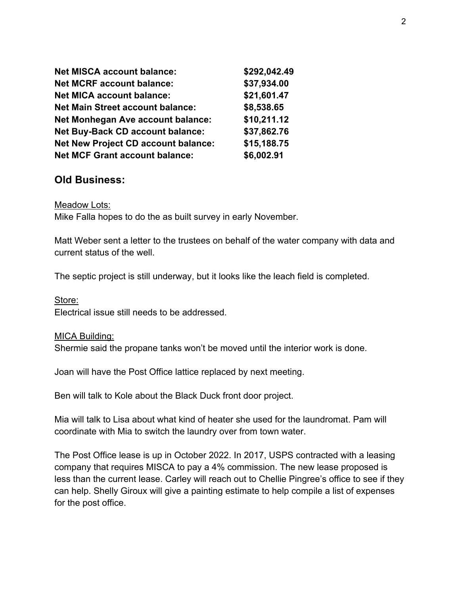| <b>Net MISCA account balance:</b>          | \$292,042.49 |
|--------------------------------------------|--------------|
| <b>Net MCRF account balance:</b>           | \$37,934.00  |
| <b>Net MICA account balance:</b>           | \$21,601.47  |
| <b>Net Main Street account balance:</b>    | \$8,538.65   |
| <b>Net Monhegan Ave account balance:</b>   | \$10,211.12  |
| <b>Net Buy-Back CD account balance:</b>    | \$37,862.76  |
| <b>Net New Project CD account balance:</b> | \$15,188.75  |
| <b>Net MCF Grant account balance:</b>      | \$6,002.91   |

## **Old Business:**

#### Meadow Lots:

Mike Falla hopes to do the as built survey in early November.

Matt Weber sent a letter to the trustees on behalf of the water company with data and current status of the well.

The septic project is still underway, but it looks like the leach field is completed.

Store: Electrical issue still needs to be addressed.

#### MICA Building:

Shermie said the propane tanks won't be moved until the interior work is done.

Joan will have the Post Office lattice replaced by next meeting.

Ben will talk to Kole about the Black Duck front door project.

Mia will talk to Lisa about what kind of heater she used for the laundromat. Pam will coordinate with Mia to switch the laundry over from town water.

The Post Office lease is up in October 2022. In 2017, USPS contracted with a leasing company that requires MISCA to pay a 4% commission. The new lease proposed is less than the current lease. Carley will reach out to Chellie Pingree's office to see if they can help. Shelly Giroux will give a painting estimate to help compile a list of expenses for the post office.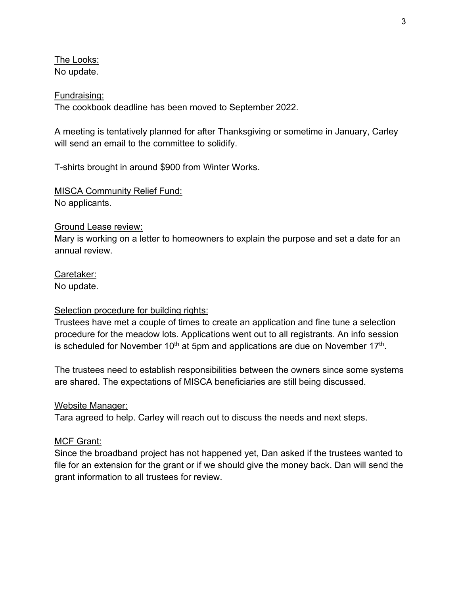The Looks: No update.

#### Fundraising:

The cookbook deadline has been moved to September 2022.

A meeting is tentatively planned for after Thanksgiving or sometime in January, Carley will send an email to the committee to solidify.

T-shirts brought in around \$900 from Winter Works.

### MISCA Community Relief Fund:

No applicants.

### Ground Lease review:

Mary is working on a letter to homeowners to explain the purpose and set a date for an annual review.

## Caretaker:

No update.

### Selection procedure for building rights:

Trustees have met a couple of times to create an application and fine tune a selection procedure for the meadow lots. Applications went out to all registrants. An info session is scheduled for November  $10<sup>th</sup>$  at 5pm and applications are due on November  $17<sup>th</sup>$ .

The trustees need to establish responsibilities between the owners since some systems are shared. The expectations of MISCA beneficiaries are still being discussed.

### Website Manager:

Tara agreed to help. Carley will reach out to discuss the needs and next steps.

### MCF Grant:

Since the broadband project has not happened yet, Dan asked if the trustees wanted to file for an extension for the grant or if we should give the money back. Dan will send the grant information to all trustees for review.